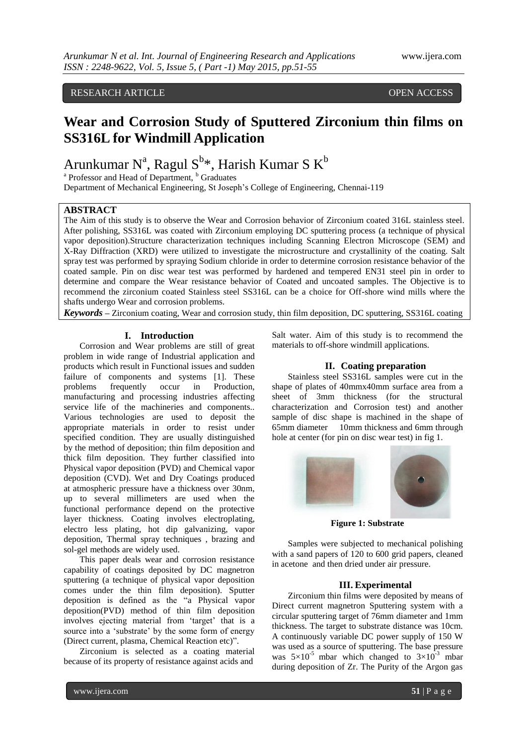## RESEARCH ARTICLE OPEN ACCESS

## **Wear and Corrosion Study of Sputtered Zirconium thin films on SS316L for Windmill Application**

Arunkumar N<sup>a</sup>, Ragul S<sup>b</sup>\*, Harish Kumar S K<sup>b</sup>

<sup>a</sup> Professor and Head of Department, <sup>b</sup> Graduates

Department of Mechanical Engineering, St Joseph"s College of Engineering, Chennai-119

## **ABSTRACT**

The Aim of this study is to observe the Wear and Corrosion behavior of Zirconium coated 316L stainless steel. After polishing, SS316L was coated with Zirconium employing DC sputtering process (a technique of physical vapor deposition).Structure characterization techniques including Scanning Electron Microscope (SEM) and X-Ray Diffraction (XRD) were utilized to investigate the microstructure and crystallinity of the coating. Salt spray test was performed by spraying Sodium chloride in order to determine corrosion resistance behavior of the coated sample. Pin on disc wear test was performed by hardened and tempered EN31 steel pin in order to determine and compare the Wear resistance behavior of Coated and uncoated samples. The Objective is to recommend the zirconium coated Stainless steel SS316L can be a choice for Off-shore wind mills where the shafts undergo Wear and corrosion problems.

*Keywords* **–** Zirconium coating, Wear and corrosion study, thin film deposition, DC sputtering, SS316L coating

## **I. Introduction**

Corrosion and Wear problems are still of great problem in wide range of Industrial application and products which result in Functional issues and sudden failure of components and systems [1]. These problems frequently occur in Production, manufacturing and processing industries affecting service life of the machineries and components.. Various technologies are used to deposit the appropriate materials in order to resist under specified condition. They are usually distinguished by the method of deposition; thin film deposition and thick film deposition. They further classified into Physical vapor deposition (PVD) and Chemical vapor deposition (CVD). Wet and Dry Coatings produced at atmospheric pressure have a thickness over 30nm, up to several millimeters are used when the functional performance depend on the protective layer thickness. Coating involves electroplating, electro less plating, hot dip galvanizing, vapor deposition, Thermal spray techniques , brazing and sol-gel methods are widely used.

This paper deals wear and corrosion resistance capability of coatings deposited by DC magnetron sputtering (a technique of physical vapor deposition comes under the thin film deposition). Sputter deposition is defined as the "a Physical vapor deposition(PVD) method of thin film deposition involves ejecting material from 'target' that is a source into a 'substrate' by the some form of energy (Direct current, plasma, Chemical Reaction etc)".

Zirconium is selected as a coating material because of its property of resistance against acids and

Salt water. Aim of this study is to recommend the materials to off-shore windmill applications.

## **II. Coating preparation**

Stainless steel SS316L samples were cut in the shape of plates of 40mmx40mm surface area from a sheet of 3mm thickness (for the structural characterization and Corrosion test) and another sample of disc shape is machined in the shape of 65mm diameter 10mm thickness and 6mm through hole at center (for pin on disc wear test) in fig 1.



**Figure 1: Substrate**

Samples were subjected to mechanical polishing with a sand papers of 120 to 600 grid papers, cleaned in acetone and then dried under air pressure.

## **III. Experimental**

Zirconium thin films were deposited by means of Direct current magnetron Sputtering system with a circular sputtering target of 76mm diameter and 1mm thickness. The target to substrate distance was 10cm. A continuously variable DC power supply of 150 W was used as a source of sputtering. The base pressure was  $5\times10^{-5}$  mbar which changed to  $3\times10^{-3}$  mbar during deposition of Zr. The Purity of the Argon gas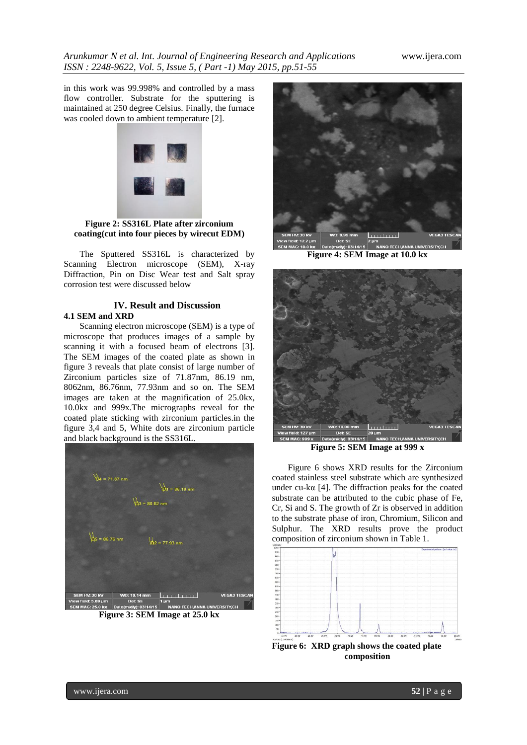in this work was 99.998% and controlled by a mass flow controller. Substrate for the sputtering is maintained at 250 degree Celsius. Finally, the furnace was cooled down to ambient temperature [2].



**Figure 2: SS316L Plate after zirconium coating(cut into four pieces by wirecut EDM)**

The Sputtered SS316L is characterized by Scanning Electron microscope (SEM), X-ray Diffraction, Pin on Disc Wear test and Salt spray corrosion test were discussed below

# **IV. Result and Discussion**

## **4.1 SEM and XRD**

Scanning electron microscope (SEM) is a type of microscope that produces images of a sample by scanning it with a focused beam of electrons [3]. The SEM images of the coated plate as shown in figure 3 reveals that plate consist of large number of Zirconium particles size of 71.87nm, 86.19 nm, 8062nm, 86.76nm, 77.93nm and so on. The SEM images are taken at the magnification of 25.0kx, 10.0kx and 999x.The micrographs reveal for the coated plate sticking with zirconium particles.in the figure 3,4 and 5, White dots are zirconium particle and black background is the SS316L.



**Figure 3: SEM Image at 25.0 kx**



**Figure 4: SEM Image at 10.0 kx**



**Figure 5: SEM Image at 999 x**

Figure 6 shows XRD results for the Zirconium coated stainless steel substrate which are synthesized under cu-kα [4]. The diffraction peaks for the coated substrate can be attributed to the cubic phase of Fe, Cr, Si and S. The growth of Zr is observed in addition to the substrate phase of iron, Chromium, Silicon and Sulphur. The XRD results prove the product composition of zirconium shown in Table 1.



**Figure 6: XRD graph shows the coated plate composition**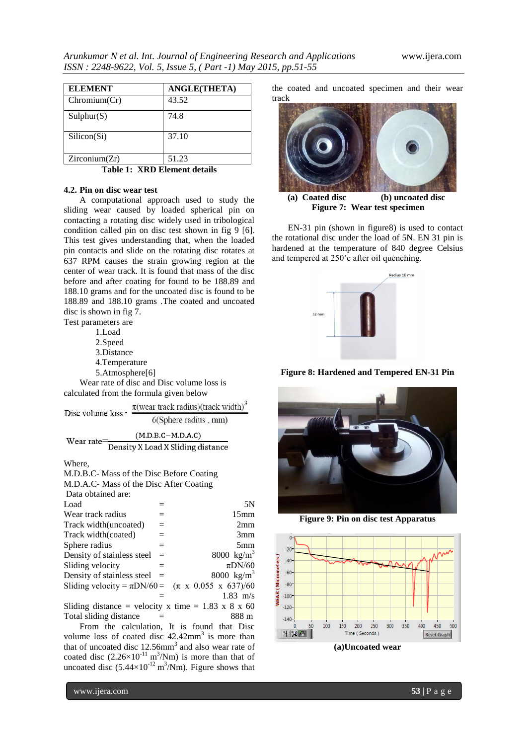| <b>ELEMENT</b> | <b>ANGLE(THETA)</b> |
|----------------|---------------------|
| Chromium(Cr)   | 43.52               |
| Sulphur(S)     | 74.8                |
| Silicon(Si)    | 37.10               |
| Zirconium(Zr)  | 51.23               |

**Table 1: XRD Element details**

## **4.2. Pin on disc wear test**

A computational approach used to study the sliding wear caused by loaded spherical pin on contacting a rotating disc widely used in tribological condition called pin on disc test shown in fig 9 [6]. This test gives understanding that, when the loaded pin contacts and slide on the rotating disc rotates at 637 RPM causes the strain growing region at the center of wear track. It is found that mass of the disc before and after coating for found to be 188.89 and 188.10 grams and for the uncoated disc is found to be 188.89 and 188.10 grams .The coated and uncoated disc is shown in fig 7. Test parameters are

- 1.Load
- 2.Speed
- 3.Distance
- 4.Temperature
- 5.Atmosphere[6]

Wear rate of disc and Disc volume loss is calculated from the formula given below

| Disc volume loss =                                  | $\pi$ (wear track radius)(track width) <sup>3</sup> |
|-----------------------------------------------------|-----------------------------------------------------|
|                                                     | 6(Sphere radius, mm)                                |
|                                                     | $(M.D.B.C-M.D.A.C)$                                 |
| Wear rate=                                          | Density X Load X Sliding distance                   |
| $\mathbf{V}$ $\mathbf{V}$ $\mathbf{L}$ $\mathbf{L}$ |                                                     |

#### Where,

| M.D.B.C- Mass of the Disc Before Coating                                                                                                                                                                                                                                                       |     |                                    |  |  |
|------------------------------------------------------------------------------------------------------------------------------------------------------------------------------------------------------------------------------------------------------------------------------------------------|-----|------------------------------------|--|--|
| M.D.A.C- Mass of the Disc After Coating                                                                                                                                                                                                                                                        |     |                                    |  |  |
| Data obtained are:                                                                                                                                                                                                                                                                             |     |                                    |  |  |
| Load                                                                                                                                                                                                                                                                                           | $=$ | 5N                                 |  |  |
| Wear track radius                                                                                                                                                                                                                                                                              | $=$ | 15 <sub>mm</sub>                   |  |  |
| Track width (uncoated)                                                                                                                                                                                                                                                                         | $=$ | 2mm                                |  |  |
| Track width(coated)                                                                                                                                                                                                                                                                            | $=$ | 3mm                                |  |  |
| Sphere radius                                                                                                                                                                                                                                                                                  | $=$ | 5 <sub>mm</sub>                    |  |  |
| Density of stainless steel                                                                                                                                                                                                                                                                     | $=$ | 8000 $\text{kg/m}^3$               |  |  |
| Sliding velocity                                                                                                                                                                                                                                                                               | $=$ | $\pi$ DN/60                        |  |  |
| Density of stainless steel                                                                                                                                                                                                                                                                     | $=$ | 8000 $\text{kg/m}^3$               |  |  |
| Sliding velocity = $\pi$ DN/60 =                                                                                                                                                                                                                                                               |     | $(\pi \times 0.055 \times 637)/60$ |  |  |
|                                                                                                                                                                                                                                                                                                |     | $1.83 \text{ m/s}$                 |  |  |
| Sliding distance = velocity x time = 1.83 x 8 x 60                                                                                                                                                                                                                                             |     |                                    |  |  |
| Total sliding distance                                                                                                                                                                                                                                                                         |     | 888 m                              |  |  |
| $\mathbf{P}$ and the set of $\mathbf{P}$ and $\mathbf{P}$ and $\mathbf{P}$ and $\mathbf{P}$ and $\mathbf{P}$ and $\mathbf{P}$ and $\mathbf{P}$ and $\mathbf{P}$ and $\mathbf{P}$ and $\mathbf{P}$ and $\mathbf{P}$ and $\mathbf{P}$ and $\mathbf{P}$ and $\mathbf{P}$ and $\mathbf{P}$ and $\$ |     |                                    |  |  |

From the calculation, It is found that Disc volume loss of coated disc  $42.42$ mm<sup>3</sup> is more than that of uncoated disc  $12.56$ mm<sup>3</sup> and also wear rate of coated disc  $(2.26 \times 10^{-11} \text{ m}^3/\text{Nm})$  is more than that of uncoated disc  $(5.44 \times 10^{-12} \text{ m}^3/\text{Nm})$ . Figure shows that the coated and uncoated specimen and their wear track



 **(a) Coated disc (b) uncoated disc Figure 7: Wear test specimen**

EN-31 pin (shown in figure8) is used to contact the rotational disc under the load of 5N. EN 31 pin is hardened at the temperature of 840 degree Celsius and tempered at 250'c after oil quenching.



**Figure 8: Hardened and Tempered EN-31 Pin**



**Figure 9: Pin on disc test Apparatus**



**(a)Uncoated wear**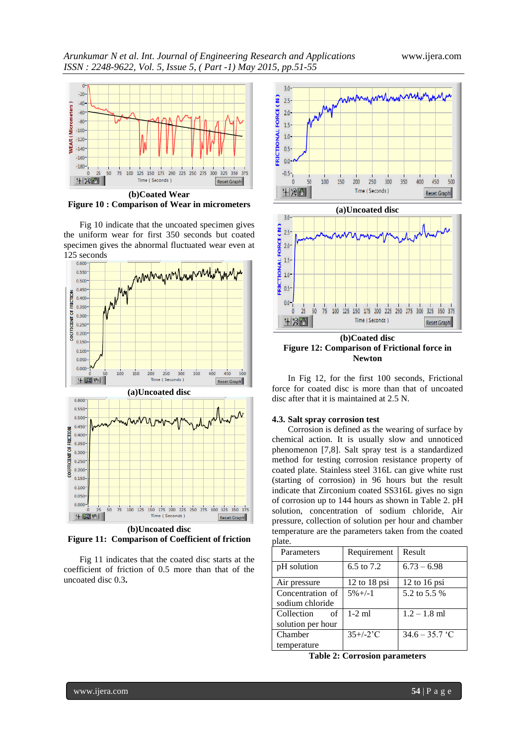

**Figure 10 : Comparison of Wear in micrometers**

Fig 10 indicate that the uncoated specimen gives the uniform wear for first 350 seconds but coated specimen gives the abnormal fluctuated wear even at 125 seconds



**Figure 11: Comparison of Coefficient of friction**

Fig 11 indicates that the coated disc starts at the coefficient of friction of 0.5 more than that of the uncoated disc 0.3**.**





**(b)Coated disc Figure 12: Comparison of Frictional force in Newton**

In Fig 12, for the first 100 seconds, Frictional force for coated disc is more than that of uncoated disc after that it is maintained at 2.5 N.

## **4.3. Salt spray corrosion test**

Corrosion is defined as the wearing of surface by chemical action. It is usually slow and unnoticed phenomenon [7,8]. Salt spray test is a standardized method for testing corrosion resistance property of coated plate. Stainless steel 316L can give white rust (starting of corrosion) in 96 hours but the result indicate that Zirconium coated SS316L gives no sign of corrosion up to 144 hours as shown in Table 2. pH solution, concentration of sodium chloride, Air pressure, collection of solution per hour and chamber temperature are the parameters taken from the coated plate.

| Parameters        | Requirement             | Result           |
|-------------------|-------------------------|------------------|
| pH solution       | 6.5 to 7.2              | $6.73 - 6.98$    |
| Air pressure      | $12$ to $18$ psi        | 12 to 16 psi     |
| Concentration of  | $5\% +/-1$              | 5.2 to 5.5 %     |
| sodium chloride   |                         |                  |
| Collection<br>of  | $1-2$ ml                | $1.2 - 1.8$ ml   |
| solution per hour |                         |                  |
| Chamber           | $35+/-2$ <sup>'</sup> C | $34.6 - 35.7$ °C |
| temperature       |                         |                  |

**Table 2: Corrosion parameters**